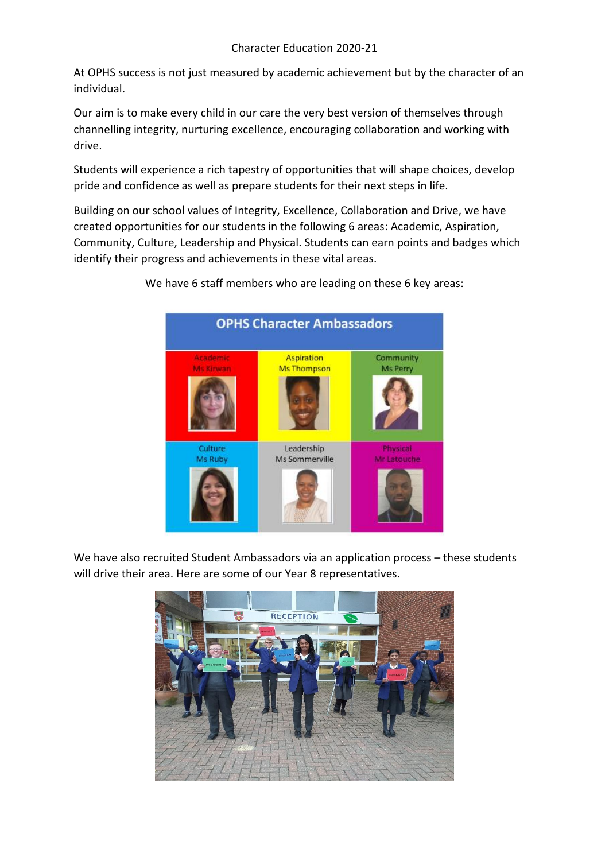At OPHS success is not just measured by academic achievement but by the character of an individual.

Our aim is to make every child in our care the very best version of themselves through channelling integrity, nurturing excellence, encouraging collaboration and working with drive.

Students will experience a rich tapestry of opportunities that will shape choices, develop pride and confidence as well as prepare students for their next steps in life.

Building on our school values of Integrity, Excellence, Collaboration and Drive, we have created opportunities for our students in the following 6 areas: Academic, Aspiration, Community, Culture, Leadership and Physical. Students can earn points and badges which identify their progress and achievements in these vital areas.

> **OPHS Character Ambassadors** Academic Aspiration Community Ms Perry **Ms Thompson** Ms Kirwan Culture Leadership Physical Ms Ruby Ms Sommerville Mr Latouche

We have 6 staff members who are leading on these 6 key areas:

We have also recruited Student Ambassadors via an application process – these students will drive their area. Here are some of our Year 8 representatives.